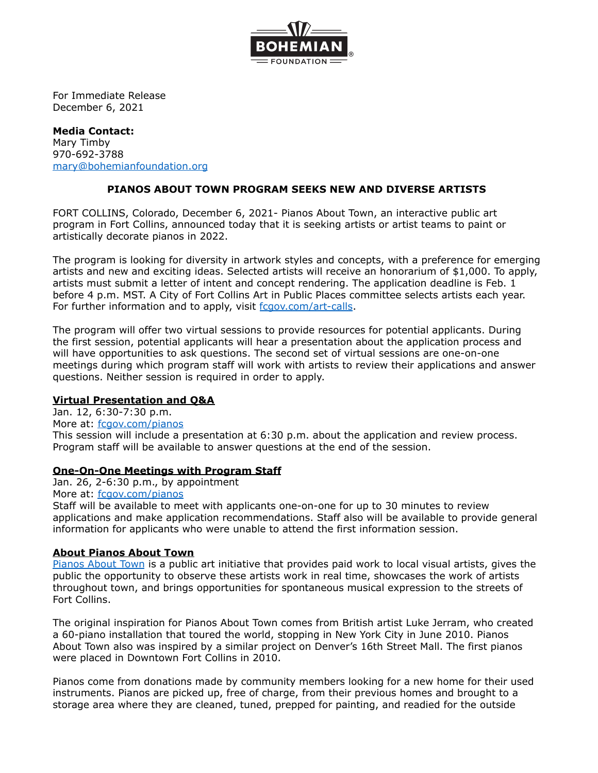

For Immediate Release December 6, 2021

## **Media Contact:** Mary Timby 970-692-3788 [mary@bohemianfoundation.org](mailto:mary@bohemianfoundation.org)

# **PIANOS ABOUT TOWN PROGRAM SEEKS NEW AND DIVERSE ARTISTS**

FORT COLLINS, Colorado, December 6, 2021- Pianos About Town, an interactive public art program in Fort Collins, announced today that it is seeking artists or artist teams to paint or artistically decorate pianos in 2022.

The program is looking for diversity in artwork styles and concepts, with a preference for emerging artists and new and exciting ideas. Selected artists will receive an honorarium of \$1,000. To apply, artists must submit a letter of intent and concept rendering. The application deadline is Feb. 1 before 4 p.m. MST. A City of Fort Collins Art in Public Places committee selects artists each year. For further information and to apply, visit [fcgov.com/art-calls](https://www.fcgov.com/artspublic/current-competitions).

The program will offer two virtual sessions to provide resources for potential applicants. During the first session, potential applicants will hear a presentation about the application process and will have opportunities to ask questions. The second set of virtual sessions are one-on-one meetings during which program staff will work with artists to review their applications and answer questions. Neither session is required in order to apply.

## **Virtual Presentation and Q&A**

Jan. 12, 6:30-7:30 p.m. More at: [fcgov.com/pianos](http://fcgov.com/artspublic/pianos) This session will include a presentation at 6:30 p.m. about the application and review process. Program staff will be available to answer questions at the end of the session.

## **One-On-One Meetings with Program Staff**

Jan. 26, 2-6:30 p.m., by appointment

More at: [fcgov.com/pianos](http://fcgov.com/artspublic/pianos)

Staff will be available to meet with applicants one-on-one for up to 30 minutes to review applications and make application recommendations. Staff also will be available to provide general information for applicants who were unable to attend the first information session.

## **About Pianos About Town**

[Pianos](http://www.fcgov.com/artspublic/pianos.php) About Town is a public art initiative that provides paid work to local visual artists, gives the public the opportunity to observe these artists work in real time, showcases the work of artists throughout town, and brings opportunities for spontaneous musical expression to the streets of Fort Collins.

The original inspiration for Pianos About Town comes from British artist Luke Jerram, who created a 60-piano installation that toured the world, stopping in New York City in June 2010. Pianos About Town also was inspired by a similar project on Denver's 16th Street Mall. The first pianos were placed in Downtown Fort Collins in 2010.

Pianos come from donations made by community members looking for a new home for their used instruments. Pianos are picked up, free of charge, from their previous homes and brought to a storage area where they are cleaned, tuned, prepped for painting, and readied for the outside